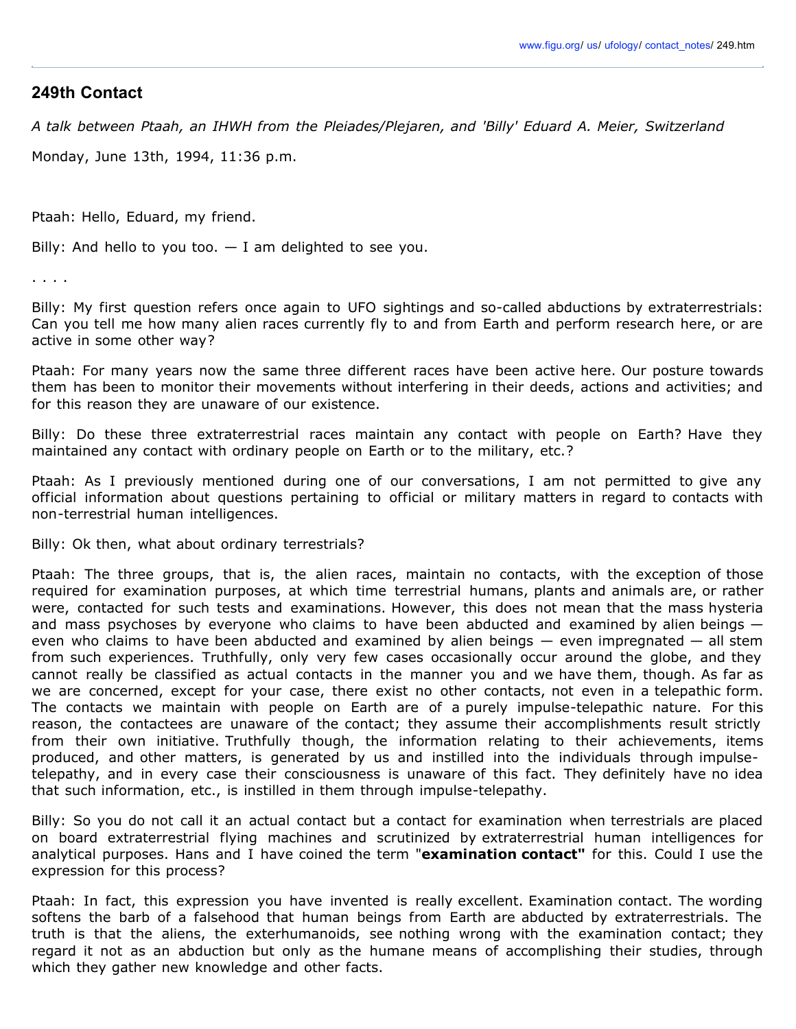## **249th Contact**

*A talk between Ptaah, an IHWH from the Pleiades/Plejaren, and 'Billy' Eduard A. Meier, Switzerland*

Monday, June 13th, 1994, 11:36 p.m.

Ptaah: Hello, Eduard, my friend.

Billy: And hello to you too.  $-$  I am delighted to see you.

. . . .

Billy: My first question refers once again to UFO sightings and so-called abductions by extraterrestrials: Can you tell me how many alien races currently fly to and from Earth and perform research here, or are active in some other way?

Ptaah: For many years now the same three different races have been active here. Our posture towards them has been to monitor their movements without interfering in their deeds, actions and activities; and for this reason they are unaware of our existence.

Billy: Do these three extraterrestrial races maintain any contact with people on Earth? Have they maintained any contact with ordinary people on Earth or to the military, etc.?

Ptaah: As I previously mentioned during one of our conversations, I am not permitted to give any official information about questions pertaining to official or military matters in regard to contacts with non-terrestrial human intelligences.

Billy: Ok then, what about ordinary terrestrials?

Ptaah: The three groups, that is, the alien races, maintain no contacts, with the exception of those required for examination purposes, at which time terrestrial humans, plants and animals are, or rather were, contacted for such tests and examinations. However, this does not mean that the mass hysteria and mass psychoses by everyone who claims to have been abducted and examined by alien beings – even who claims to have been abducted and examined by alien beings — even impregnated — all stem from such experiences. Truthfully, only very few cases occasionally occur around the globe, and they cannot really be classified as actual contacts in the manner you and we have them, though. As far as we are concerned, except for your case, there exist no other contacts, not even in a telepathic form. The contacts we maintain with people on Earth are of a purely impulse-telepathic nature. For this reason, the contactees are unaware of the contact; they assume their accomplishments result strictly from their own initiative. Truthfully though, the information relating to their achievements, items produced, and other matters, is generated by us and instilled into the individuals through impulsetelepathy, and in every case their consciousness is unaware of this fact. They definitely have no idea that such information, etc., is instilled in them through impulse-telepathy.

Billy: So you do not call it an actual contact but a contact for examination when terrestrials are placed on board extraterrestrial flying machines and scrutinized by extraterrestrial human intelligences for analytical purposes. Hans and I have coined the term "**examination contact"** for this. Could I use the expression for this process?

Ptaah: In fact, this expression you have invented is really excellent. Examination contact. The wording softens the barb of a falsehood that human beings from Earth are abducted by extraterrestrials. The truth is that the aliens, the exterhumanoids, see nothing wrong with the examination contact; they regard it not as an abduction but only as the humane means of accomplishing their studies, through which they gather new knowledge and other facts.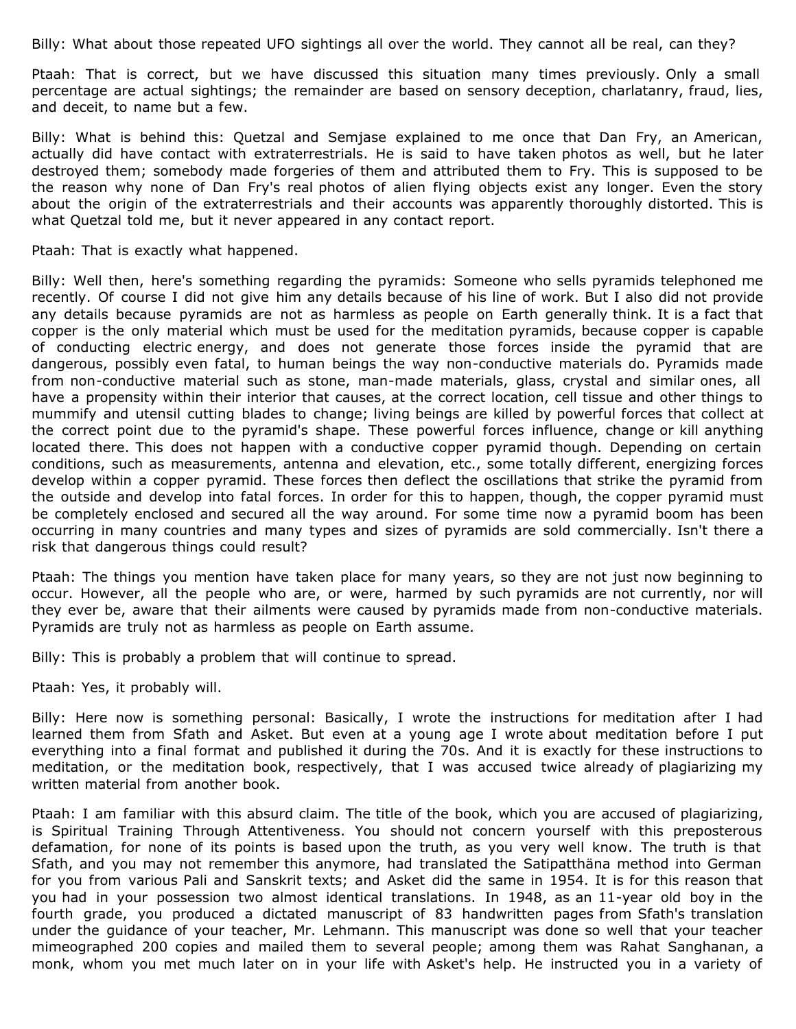Billy: What about those repeated UFO sightings all over the world. They cannot all be real, can they?

Ptaah: That is correct, but we have discussed this situation many times previously. Only a small percentage are actual sightings; the remainder are based on sensory deception, charlatanry, fraud, lies, and deceit, to name but a few.

Billy: What is behind this: Quetzal and Semjase explained to me once that Dan Fry, an American, actually did have contact with extraterrestrials. He is said to have taken photos as well, but he later destroyed them; somebody made forgeries of them and attributed them to Fry. This is supposed to be the reason why none of Dan Fry's real photos of alien flying objects exist any longer. Even the story about the origin of the extraterrestrials and their accounts was apparently thoroughly distorted. This is what Quetzal told me, but it never appeared in any contact report.

Ptaah: That is exactly what happened.

Billy: Well then, here's something regarding the pyramids: Someone who sells pyramids telephoned me recently. Of course I did not give him any details because of his line of work. But I also did not provide any details because pyramids are not as harmless as people on Earth generally think. It is a fact that copper is the only material which must be used for the meditation pyramids, because copper is capable of conducting electric energy, and does not generate those forces inside the pyramid that are dangerous, possibly even fatal, to human beings the way non-conductive materials do. Pyramids made from non-conductive material such as stone, man-made materials, glass, crystal and similar ones, all have a propensity within their interior that causes, at the correct location, cell tissue and other things to mummify and utensil cutting blades to change; living beings are killed by powerful forces that collect at the correct point due to the pyramid's shape. These powerful forces influence, change or kill anything located there. This does not happen with a conductive copper pyramid though. Depending on certain conditions, such as measurements, antenna and elevation, etc., some totally different, energizing forces develop within a copper pyramid. These forces then deflect the oscillations that strike the pyramid from the outside and develop into fatal forces. In order for this to happen, though, the copper pyramid must be completely enclosed and secured all the way around. For some time now a pyramid boom has been occurring in many countries and many types and sizes of pyramids are sold commercially. Isn't there a risk that dangerous things could result?

Ptaah: The things you mention have taken place for many years, so they are not just now beginning to occur. However, all the people who are, or were, harmed by such pyramids are not currently, nor will they ever be, aware that their ailments were caused by pyramids made from non-conductive materials. Pyramids are truly not as harmless as people on Earth assume.

Billy: This is probably a problem that will continue to spread.

Ptaah: Yes, it probably will.

Billy: Here now is something personal: Basically, I wrote the instructions for meditation after I had learned them from Sfath and Asket. But even at a young age I wrote about meditation before I put everything into a final format and published it during the 70s. And it is exactly for these instructions to meditation, or the meditation book, respectively, that I was accused twice already of plagiarizing my written material from another book.

Ptaah: I am familiar with this absurd claim. The title of the book, which you are accused of plagiarizing, is Spiritual Training Through Attentiveness. You should not concern yourself with this preposterous defamation, for none of its points is based upon the truth, as you very well know. The truth is that Sfath, and you may not remember this anymore, had translated the Satipatthäna method into German for you from various Pali and Sanskrit texts; and Asket did the same in 1954. It is for this reason that you had in your possession two almost identical translations. In 1948, as an 11-year old boy in the fourth grade, you produced a dictated manuscript of 83 handwritten pages from Sfath's translation under the guidance of your teacher, Mr. Lehmann. This manuscript was done so well that your teacher mimeographed 200 copies and mailed them to several people; among them was Rahat Sanghanan, a monk, whom you met much later on in your life with Asket's help. He instructed you in a variety of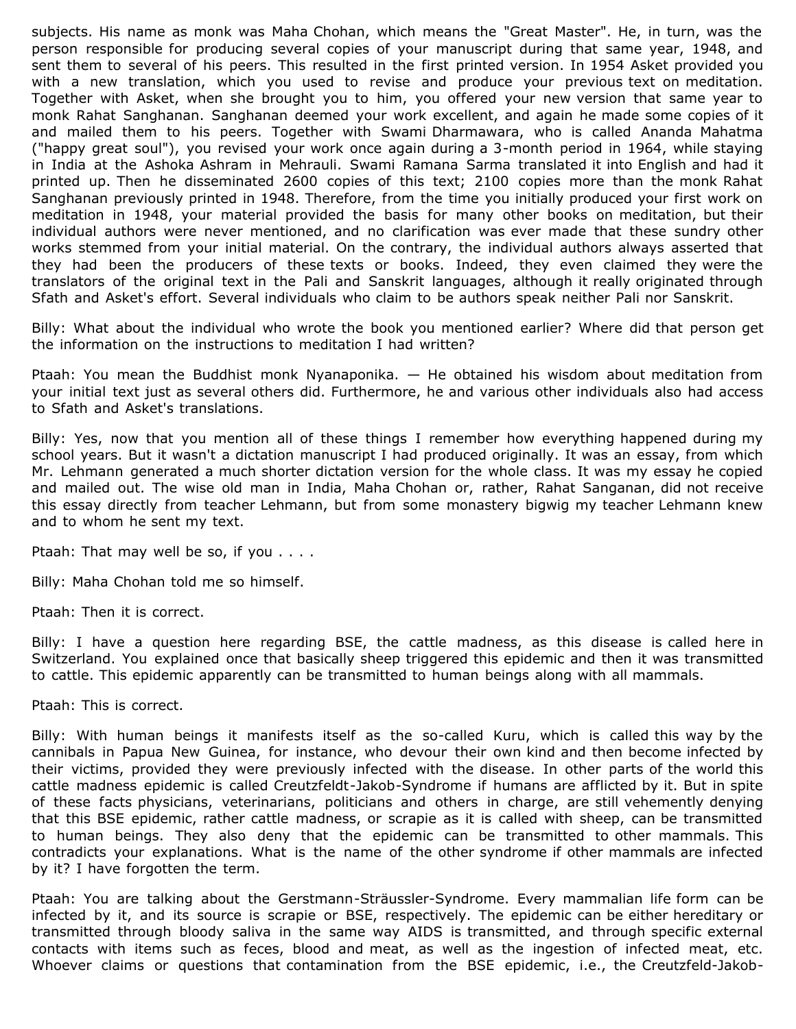subjects. His name as monk was Maha Chohan, which means the "Great Master". He, in turn, was the person responsible for producing several copies of your manuscript during that same year, 1948, and sent them to several of his peers. This resulted in the first printed version. In 1954 Asket provided you with a new translation, which you used to revise and produce your previous text on meditation. Together with Asket, when she brought you to him, you offered your new version that same year to monk Rahat Sanghanan. Sanghanan deemed your work excellent, and again he made some copies of it and mailed them to his peers. Together with Swami Dharmawara, who is called Ananda Mahatma ("happy great soul"), you revised your work once again during a 3-month period in 1964, while staying in India at the Ashoka Ashram in Mehrauli. Swami Ramana Sarma translated it into English and had it printed up. Then he disseminated 2600 copies of this text; 2100 copies more than the monk Rahat Sanghanan previously printed in 1948. Therefore, from the time you initially produced your first work on meditation in 1948, your material provided the basis for many other books on meditation, but their individual authors were never mentioned, and no clarification was ever made that these sundry other works stemmed from your initial material. On the contrary, the individual authors always asserted that they had been the producers of these texts or books. Indeed, they even claimed they were the translators of the original text in the Pali and Sanskrit languages, although it really originated through Sfath and Asket's effort. Several individuals who claim to be authors speak neither Pali nor Sanskrit.

Billy: What about the individual who wrote the book you mentioned earlier? Where did that person get the information on the instructions to meditation I had written?

Ptaah: You mean the Buddhist monk Nyanaponika. — He obtained his wisdom about meditation from your initial text just as several others did. Furthermore, he and various other individuals also had access to Sfath and Asket's translations.

Billy: Yes, now that you mention all of these things I remember how everything happened during my school years. But it wasn't a dictation manuscript I had produced originally. It was an essay, from which Mr. Lehmann generated a much shorter dictation version for the whole class. It was my essay he copied and mailed out. The wise old man in India, Maha Chohan or, rather, Rahat Sanganan, did not receive this essay directly from teacher Lehmann, but from some monastery bigwig my teacher Lehmann knew and to whom he sent my text.

Ptaah: That may well be so, if you . . . .

Billy: Maha Chohan told me so himself.

Ptaah: Then it is correct.

Billy: I have a question here regarding BSE, the cattle madness, as this disease is called here in Switzerland. You explained once that basically sheep triggered this epidemic and then it was transmitted to cattle. This epidemic apparently can be transmitted to human beings along with all mammals.

Ptaah: This is correct.

Billy: With human beings it manifests itself as the so-called Kuru, which is called this way by the cannibals in Papua New Guinea, for instance, who devour their own kind and then become infected by their victims, provided they were previously infected with the disease. In other parts of the world this cattle madness epidemic is called Creutzfeldt-Jakob-Syndrome if humans are afflicted by it. But in spite of these facts physicians, veterinarians, politicians and others in charge, are still vehemently denying that this BSE epidemic, rather cattle madness, or scrapie as it is called with sheep, can be transmitted to human beings. They also deny that the epidemic can be transmitted to other mammals. This contradicts your explanations. What is the name of the other syndrome if other mammals are infected by it? I have forgotten the term.

Ptaah: You are talking about the Gerstmann-Sträussler-Syndrome. Every mammalian life form can be infected by it, and its source is scrapie or BSE, respectively. The epidemic can be either hereditary or transmitted through bloody saliva in the same way AIDS is transmitted, and through specific external contacts with items such as feces, blood and meat, as well as the ingestion of infected meat, etc. Whoever claims or questions that contamination from the BSE epidemic, i.e., the Creutzfeld-Jakob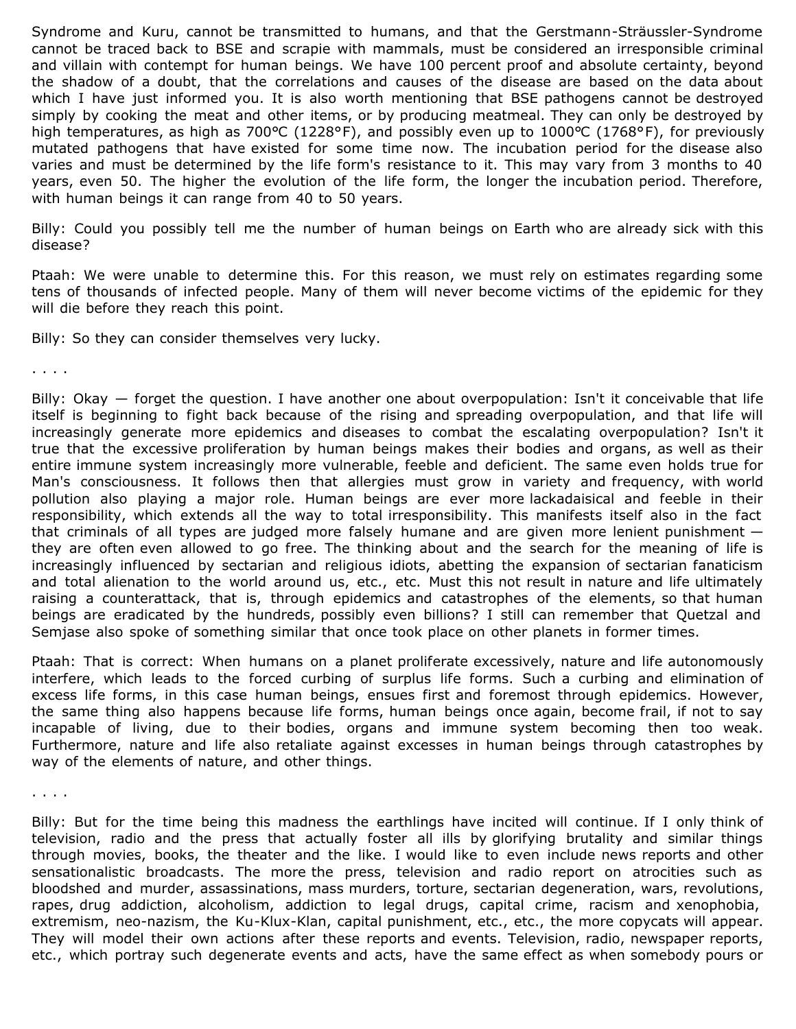Syndrome and Kuru, cannot be transmitted to humans, and that the Gerstmann-Sträussler-Syndrome cannot be traced back to BSE and scrapie with mammals, must be considered an irresponsible criminal and villain with contempt for human beings. We have 100 percent proof and absolute certainty, beyond the shadow of a doubt, that the correlations and causes of the disease are based on the data about which I have just informed you. It is also worth mentioning that BSE pathogens cannot be destroyed simply by cooking the meat and other items, or by producing meatmeal. They can only be destroyed by high temperatures, as high as 700°C (1228°F), and possibly even up to 1000°C (1768°F), for previously mutated pathogens that have existed for some time now. The incubation period for the disease also varies and must be determined by the life form's resistance to it. This may vary from 3 months to 40 years, even 50. The higher the evolution of the life form, the longer the incubation period. Therefore, with human beings it can range from 40 to 50 years.

Billy: Could you possibly tell me the number of human beings on Earth who are already sick with this disease?

Ptaah: We were unable to determine this. For this reason, we must rely on estimates regarding some tens of thousands of infected people. Many of them will never become victims of the epidemic for they will die before they reach this point.

Billy: So they can consider themselves very lucky.

. . . .

Billy: Okay — forget the question. I have another one about overpopulation: Isn't it conceivable that life itself is beginning to fight back because of the rising and spreading overpopulation, and that life will increasingly generate more epidemics and diseases to combat the escalating overpopulation? Isn't it true that the excessive proliferation by human beings makes their bodies and organs, as well as their entire immune system increasingly more vulnerable, feeble and deficient. The same even holds true for Man's consciousness. It follows then that allergies must grow in variety and frequency, with world pollution also playing a major role. Human beings are ever more lackadaisical and feeble in their responsibility, which extends all the way to total irresponsibility. This manifests itself also in the fact that criminals of all types are judged more falsely humane and are given more lenient punishment they are often even allowed to go free. The thinking about and the search for the meaning of life is increasingly influenced by sectarian and religious idiots, abetting the expansion of sectarian fanaticism and total alienation to the world around us, etc., etc. Must this not result in nature and life ultimately raising a counterattack, that is, through epidemics and catastrophes of the elements, so that human beings are eradicated by the hundreds, possibly even billions? I still can remember that Quetzal and Semjase also spoke of something similar that once took place on other planets in former times.

Ptaah: That is correct: When humans on a planet proliferate excessively, nature and life autonomously interfere, which leads to the forced curbing of surplus life forms. Such a curbing and elimination of excess life forms, in this case human beings, ensues first and foremost through epidemics. However, the same thing also happens because life forms, human beings once again, become frail, if not to say incapable of living, due to their bodies, organs and immune system becoming then too weak. Furthermore, nature and life also retaliate against excesses in human beings through catastrophes by way of the elements of nature, and other things.

. . . . .

Billy: But for the time being this madness the earthlings have incited will continue. If I only think of television, radio and the press that actually foster all ills by glorifying brutality and similar things through movies, books, the theater and the like. I would like to even include news reports and other sensationalistic broadcasts. The more the press, television and radio report on atrocities such as bloodshed and murder, assassinations, mass murders, torture, sectarian degeneration, wars, revolutions, rapes, drug addiction, alcoholism, addiction to legal drugs, capital crime, racism and xenophobia, extremism, neo-nazism, the Ku-Klux-Klan, capital punishment, etc., etc., the more copycats will appear. They will model their own actions after these reports and events. Television, radio, newspaper reports, etc., which portray such degenerate events and acts, have the same effect as when somebody pours or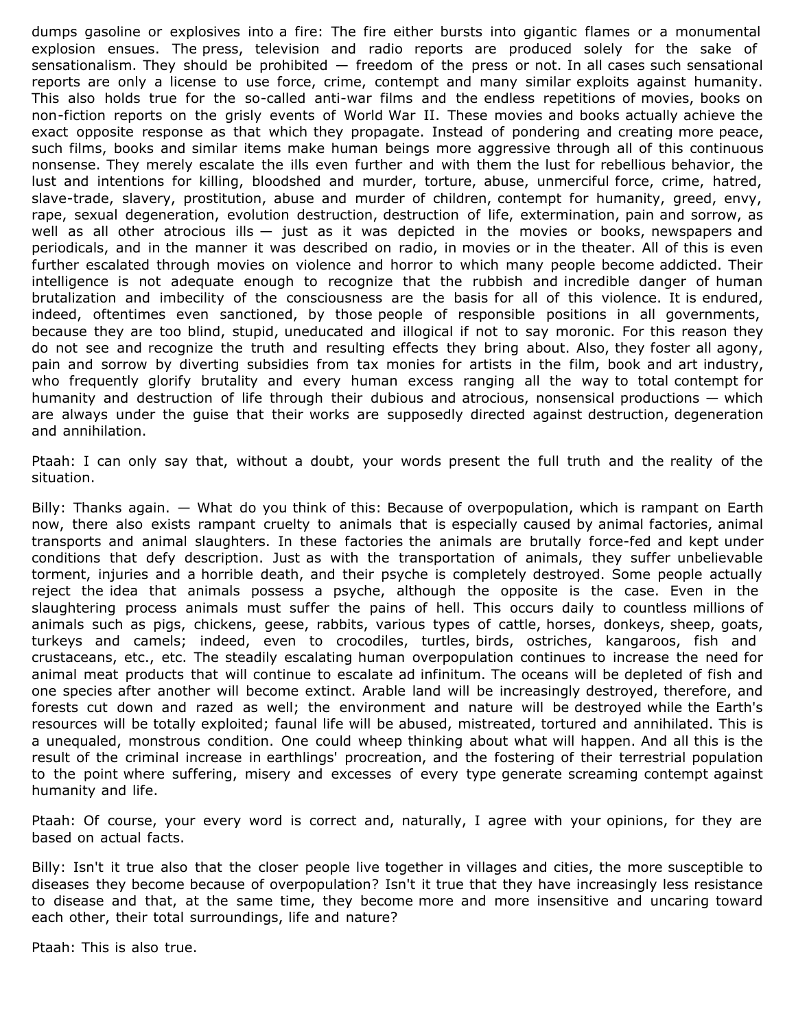dumps gasoline or explosives into a fire: The fire either bursts into gigantic flames or a monumental explosion ensues. The press, television and radio reports are produced solely for the sake of sensationalism. They should be prohibited  $-$  freedom of the press or not. In all cases such sensational reports are only a license to use force, crime, contempt and many similar exploits against humanity. This also holds true for the so-called anti-war films and the endless repetitions of movies, books on non-fiction reports on the grisly events of World War II. These movies and books actually achieve the exact opposite response as that which they propagate. Instead of pondering and creating more peace, such films, books and similar items make human beings more aggressive through all of this continuous nonsense. They merely escalate the ills even further and with them the lust for rebellious behavior, the lust and intentions for killing, bloodshed and murder, torture, abuse, unmerciful force, crime, hatred, slave-trade, slavery, prostitution, abuse and murder of children, contempt for humanity, greed, envy, rape, sexual degeneration, evolution destruction, destruction of life, extermination, pain and sorrow, as well as all other atrocious ills  $-$  just as it was depicted in the movies or books, newspapers and periodicals, and in the manner it was described on radio, in movies or in the theater. All of this is even further escalated through movies on violence and horror to which many people become addicted. Their intelligence is not adequate enough to recognize that the rubbish and incredible danger of human brutalization and imbecility of the consciousness are the basis for all of this violence. It is endured, indeed, oftentimes even sanctioned, by those people of responsible positions in all governments, because they are too blind, stupid, uneducated and illogical if not to say moronic. For this reason they do not see and recognize the truth and resulting effects they bring about. Also, they foster all agony, pain and sorrow by diverting subsidies from tax monies for artists in the film, book and art industry, who frequently glorify brutality and every human excess ranging all the way to total contempt for humanity and destruction of life through their dubious and atrocious, nonsensical productions — which are always under the guise that their works are supposedly directed against destruction, degeneration and annihilation.

Ptaah: I can only say that, without a doubt, your words present the full truth and the reality of the situation.

Billy: Thanks again. — What do you think of this: Because of overpopulation, which is rampant on Earth now, there also exists rampant cruelty to animals that is especially caused by animal factories, animal transports and animal slaughters. In these factories the animals are brutally force-fed and kept under conditions that defy description. Just as with the transportation of animals, they suffer unbelievable torment, injuries and a horrible death, and their psyche is completely destroyed. Some people actually reject the idea that animals possess a psyche, although the opposite is the case. Even in the slaughtering process animals must suffer the pains of hell. This occurs daily to countless millions of animals such as pigs, chickens, geese, rabbits, various types of cattle, horses, donkeys, sheep, goats, turkeys and camels; indeed, even to crocodiles, turtles, birds, ostriches, kangaroos, fish and crustaceans, etc., etc. The steadily escalating human overpopulation continues to increase the need for animal meat products that will continue to escalate ad infinitum. The oceans will be depleted of fish and one species after another will become extinct. Arable land will be increasingly destroyed, therefore, and forests cut down and razed as well; the environment and nature will be destroyed while the Earth's resources will be totally exploited; faunal life will be abused, mistreated, tortured and annihilated. This is a unequaled, monstrous condition. One could wheep thinking about what will happen. And all this is the result of the criminal increase in earthlings' procreation, and the fostering of their terrestrial population to the point where suffering, misery and excesses of every type generate screaming contempt against humanity and life.

Ptaah: Of course, your every word is correct and, naturally, I agree with your opinions, for they are based on actual facts.

Billy: Isn't it true also that the closer people live together in villages and cities, the more susceptible to diseases they become because of overpopulation? Isn't it true that they have increasingly less resistance to disease and that, at the same time, they become more and more insensitive and uncaring toward each other, their total surroundings, life and nature?

Ptaah: This is also true.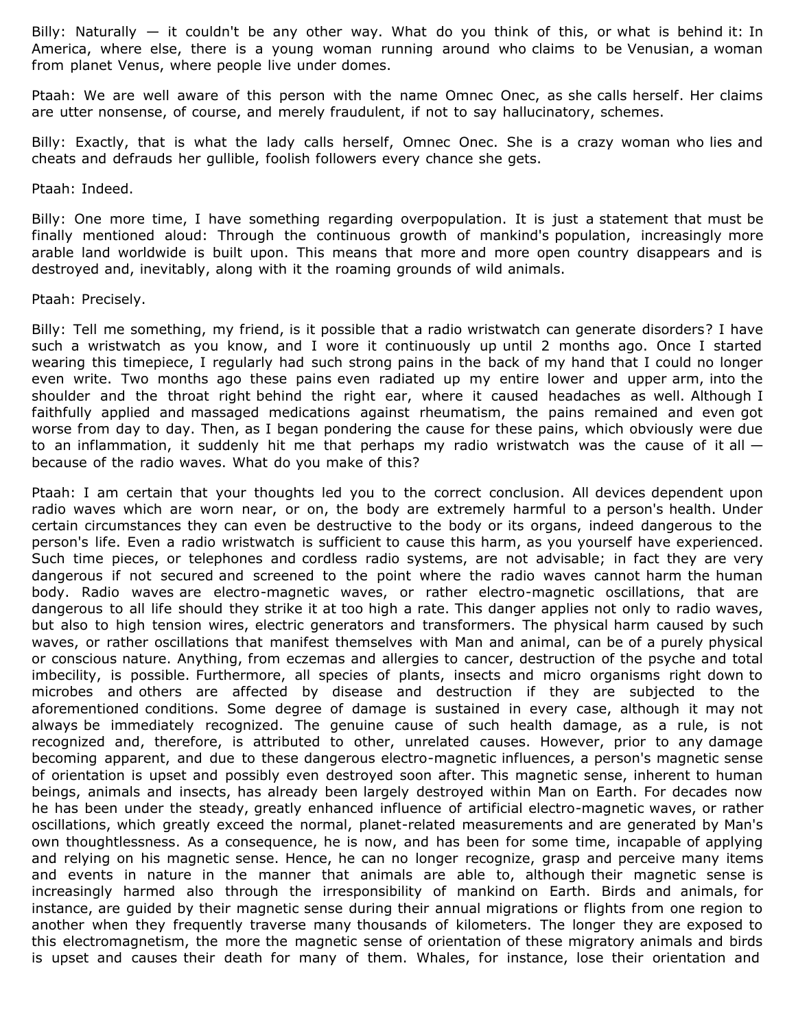Billy: Naturally  $-$  it couldn't be any other way. What do you think of this, or what is behind it: In America, where else, there is a young woman running around who claims to be Venusian, a woman from planet Venus, where people live under domes.

Ptaah: We are well aware of this person with the name Omnec Onec, as she calls herself. Her claims are utter nonsense, of course, and merely fraudulent, if not to say hallucinatory, schemes.

Billy: Exactly, that is what the lady calls herself, Omnec Onec. She is a crazy woman who lies and cheats and defrauds her gullible, foolish followers every chance she gets.

Ptaah: Indeed.

Billy: One more time, I have something regarding overpopulation. It is just a statement that must be finally mentioned aloud: Through the continuous growth of mankind's population, increasingly more arable land worldwide is built upon. This means that more and more open country disappears and is destroyed and, inevitably, along with it the roaming grounds of wild animals.

Ptaah: Precisely.

Billy: Tell me something, my friend, is it possible that a radio wristwatch can generate disorders? I have such a wristwatch as you know, and I wore it continuously up until 2 months ago. Once I started wearing this timepiece, I regularly had such strong pains in the back of my hand that I could no longer even write. Two months ago these pains even radiated up my entire lower and upper arm, into the shoulder and the throat right behind the right ear, where it caused headaches as well. Although I faithfully applied and massaged medications against rheumatism, the pains remained and even got worse from day to day. Then, as I began pondering the cause for these pains, which obviously were due to an inflammation, it suddenly hit me that perhaps my radio wristwatch was the cause of it all  $$ because of the radio waves. What do you make of this?

Ptaah: I am certain that your thoughts led you to the correct conclusion. All devices dependent upon radio waves which are worn near, or on, the body are extremely harmful to a person's health. Under certain circumstances they can even be destructive to the body or its organs, indeed dangerous to the person's life. Even a radio wristwatch is sufficient to cause this harm, as you yourself have experienced. Such time pieces, or telephones and cordless radio systems, are not advisable; in fact they are very dangerous if not secured and screened to the point where the radio waves cannot harm the human body. Radio waves are electro-magnetic waves, or rather electro-magnetic oscillations, that are dangerous to all life should they strike it at too high a rate. This danger applies not only to radio waves, but also to high tension wires, electric generators and transformers. The physical harm caused by such waves, or rather oscillations that manifest themselves with Man and animal, can be of a purely physical or conscious nature. Anything, from eczemas and allergies to cancer, destruction of the psyche and total imbecility, is possible. Furthermore, all species of plants, insects and micro organisms right down to microbes and others are affected by disease and destruction if they are subjected to the aforementioned conditions. Some degree of damage is sustained in every case, although it may not always be immediately recognized. The genuine cause of such health damage, as a rule, is not recognized and, therefore, is attributed to other, unrelated causes. However, prior to any damage becoming apparent, and due to these dangerous electro-magnetic influences, a person's magnetic sense of orientation is upset and possibly even destroyed soon after. This magnetic sense, inherent to human beings, animals and insects, has already been largely destroyed within Man on Earth. For decades now he has been under the steady, greatly enhanced influence of artificial electro-magnetic waves, or rather oscillations, which greatly exceed the normal, planet-related measurements and are generated by Man's own thoughtlessness. As a consequence, he is now, and has been for some time, incapable of applying and relying on his magnetic sense. Hence, he can no longer recognize, grasp and perceive many items and events in nature in the manner that animals are able to, although their magnetic sense is increasingly harmed also through the irresponsibility of mankind on Earth. Birds and animals, for instance, are guided by their magnetic sense during their annual migrations or flights from one region to another when they frequently traverse many thousands of kilometers. The longer they are exposed to this electromagnetism, the more the magnetic sense of orientation of these migratory animals and birds is upset and causes their death for many of them. Whales, for instance, lose their orientation and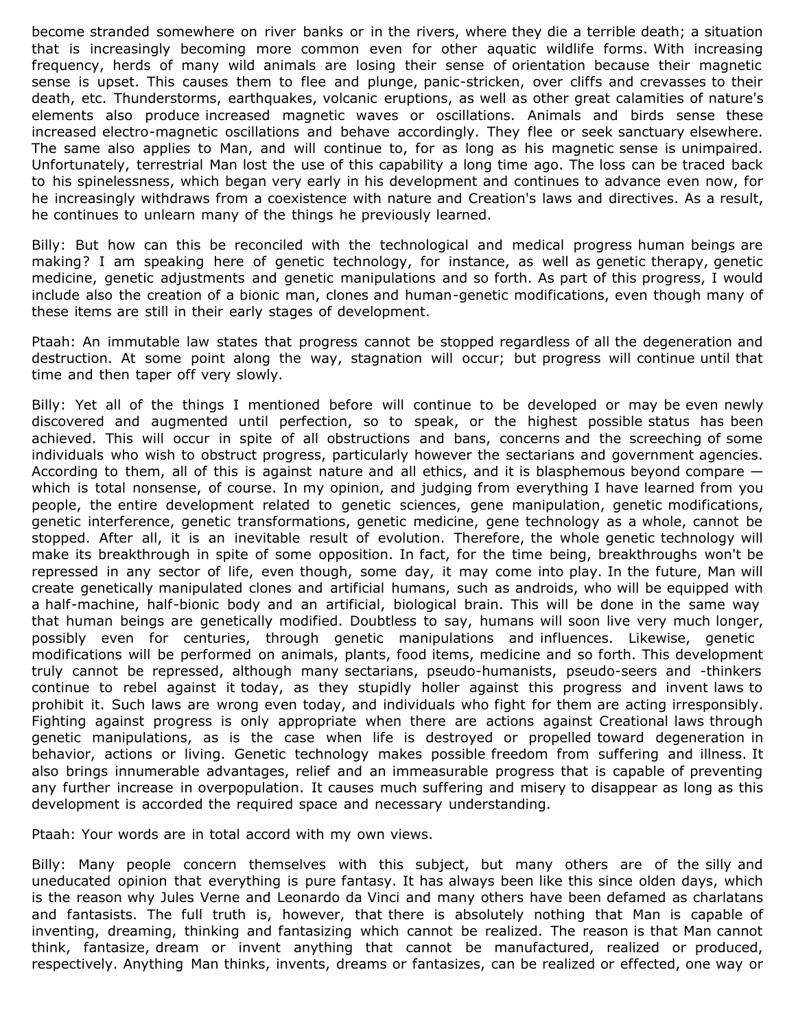become stranded somewhere on river banks or in the rivers, where they die a terrible death; a situation that is increasingly becoming more common even for other aquatic wildlife forms. With increasing frequency, herds of many wild animals are losing their sense of orientation because their magnetic sense is upset. This causes them to flee and plunge, panic-stricken, over cliffs and crevasses to their death, etc. Thunderstorms, earthquakes, volcanic eruptions, as well as other great calamities of nature's elements also produce increased magnetic waves or oscillations. Animals and birds sense these increased electro-magnetic oscillations and behave accordingly. They flee or seek sanctuary elsewhere. The same also applies to Man, and will continue to, for as long as his magnetic sense is unimpaired. Unfortunately, terrestrial Man lost the use of this capability a long time ago. The loss can be traced back to his spinelessness, which began very early in his development and continues to advance even now, for he increasingly withdraws from a coexistence with nature and Creation's laws and directives. As a result, he continues to unlearn many of the things he previously learned.

Billy: But how can this be reconciled with the technological and medical progress human beings are making? I am speaking here of genetic technology, for instance, as well as genetic therapy, genetic medicine, genetic adjustments and genetic manipulations and so forth. As part of this progress, I would include also the creation of a bionic man, clones and human-genetic modifications, even though many of these items are still in their early stages of development.

Ptaah: An immutable law states that progress cannot be stopped regardless of all the degeneration and destruction. At some point along the way, stagnation will occur; but progress will continue until that time and then taper off very slowly.

Billy: Yet all of the things I mentioned before will continue to be developed or may be even newly discovered and augmented until perfection, so to speak, or the highest possible status has been achieved. This will occur in spite of all obstructions and bans, concerns and the screeching of some individuals who wish to obstruct progress, particularly however the sectarians and government agencies. According to them, all of this is against nature and all ethics, and it is blasphemous beyond compare which is total nonsense, of course. In my opinion, and judging from everything I have learned from you people, the entire development related to genetic sciences, gene manipulation, genetic modifications, genetic interference, genetic transformations, genetic medicine, gene technology as a whole, cannot be stopped. After all, it is an inevitable result of evolution. Therefore, the whole genetic technology will make its breakthrough in spite of some opposition. In fact, for the time being, breakthroughs won't be repressed in any sector of life, even though, some day, it may come into play. In the future, Man will create genetically manipulated clones and artificial humans, such as androids, who will be equipped with a half-machine, half-bionic body and an artificial, biological brain. This will be done in the same way that human beings are genetically modified. Doubtless to say, humans will soon live very much longer, possibly even for centuries, through genetic manipulations and influences. Likewise, genetic modifications will be performed on animals, plants, food items, medicine and so forth. This development truly cannot be repressed, although many sectarians, pseudo-humanists, pseudo-seers and -thinkers continue to rebel against it today, as they stupidly holler against this progress and invent laws to prohibit it. Such laws are wrong even today, and individuals who fight for them are acting irresponsibly. Fighting against progress is only appropriate when there are actions against Creational laws through genetic manipulations, as is the case when life is destroyed or propelled toward degeneration in behavior, actions or living. Genetic technology makes possible freedom from suffering and illness. It also brings innumerable advantages, relief and an immeasurable progress that is capable of preventing any further increase in overpopulation. It causes much suffering and misery to disappear as long as this development is accorded the required space and necessary understanding.

Ptaah: Your words are in total accord with my own views.

Billy: Many people concern themselves with this subject, but many others are of the silly and uneducated opinion that everything is pure fantasy. It has always been like this since olden days, which is the reason why Jules Verne and Leonardo da Vinci and many others have been defamed as charlatans and fantasists. The full truth is, however, that there is absolutely nothing that Man is capable of inventing, dreaming, thinking and fantasizing which cannot be realized. The reason is that Man cannot think, fantasize, dream or invent anything that cannot be manufactured, realized or produced, respectively. Anything Man thinks, invents, dreams or fantasizes, can be realized or effected, one way or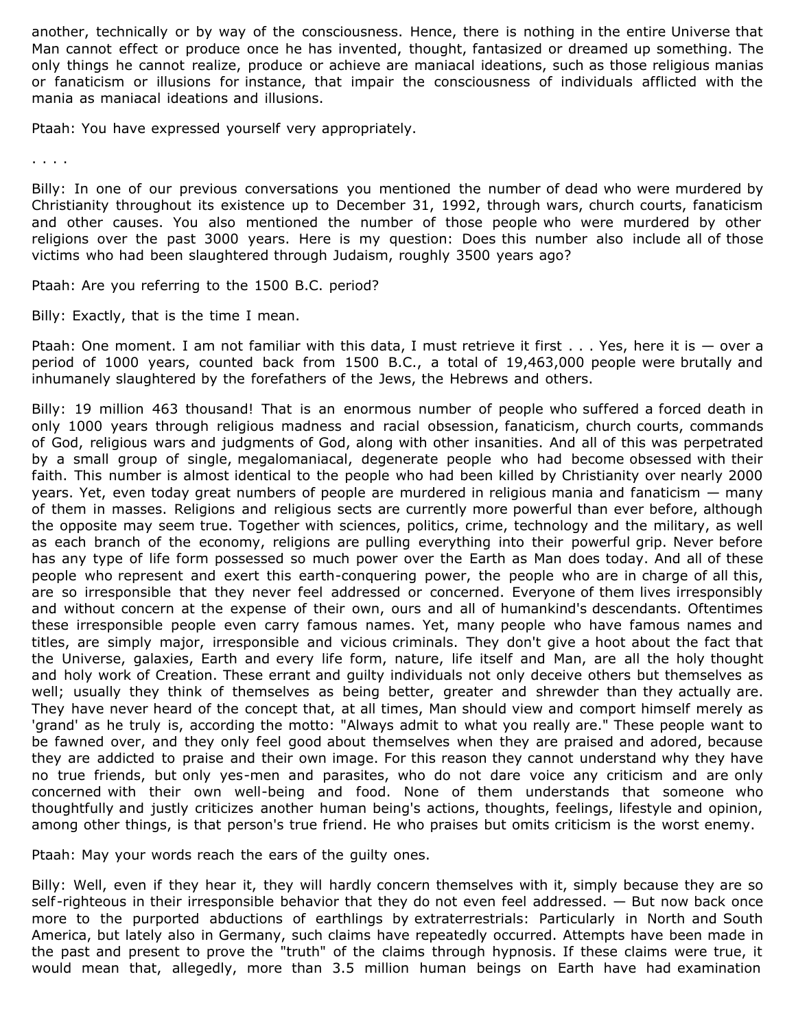another, technically or by way of the consciousness. Hence, there is nothing in the entire Universe that Man cannot effect or produce once he has invented, thought, fantasized or dreamed up something. The only things he cannot realize, produce or achieve are maniacal ideations, such as those religious manias or fanaticism or illusions for instance, that impair the consciousness of individuals afflicted with the mania as maniacal ideations and illusions.

Ptaah: You have expressed yourself very appropriately.

. . . .

Billy: In one of our previous conversations you mentioned the number of dead who were murdered by Christianity throughout its existence up to December 31, 1992, through wars, church courts, fanaticism and other causes. You also mentioned the number of those people who were murdered by other religions over the past 3000 years. Here is my question: Does this number also include all of those victims who had been slaughtered through Judaism, roughly 3500 years ago?

Ptaah: Are you referring to the 1500 B.C. period?

Billy: Exactly, that is the time I mean.

Ptaah: One moment. I am not familiar with this data, I must retrieve it first . . . Yes, here it is - over a period of 1000 years, counted back from 1500 B.C., a total of 19,463,000 people were brutally and inhumanely slaughtered by the forefathers of the Jews, the Hebrews and others.

Billy: 19 million 463 thousand! That is an enormous number of people who suffered a forced death in only 1000 years through religious madness and racial obsession, fanaticism, church courts, commands of God, religious wars and judgments of God, along with other insanities. And all of this was perpetrated by a small group of single, megalomaniacal, degenerate people who had become obsessed with their faith. This number is almost identical to the people who had been killed by Christianity over nearly 2000 years. Yet, even today great numbers of people are murdered in religious mania and fanaticism — many of them in masses. Religions and religious sects are currently more powerful than ever before, although the opposite may seem true. Together with sciences, politics, crime, technology and the military, as well as each branch of the economy, religions are pulling everything into their powerful grip. Never before has any type of life form possessed so much power over the Earth as Man does today. And all of these people who represent and exert this earth-conquering power, the people who are in charge of all this, are so irresponsible that they never feel addressed or concerned. Everyone of them lives irresponsibly and without concern at the expense of their own, ours and all of humankind's descendants. Oftentimes these irresponsible people even carry famous names. Yet, many people who have famous names and titles, are simply major, irresponsible and vicious criminals. They don't give a hoot about the fact that the Universe, galaxies, Earth and every life form, nature, life itself and Man, are all the holy thought and holy work of Creation. These errant and guilty individuals not only deceive others but themselves as well; usually they think of themselves as being better, greater and shrewder than they actually are. They have never heard of the concept that, at all times, Man should view and comport himself merely as 'grand' as he truly is, according the motto: "Always admit to what you really are." These people want to be fawned over, and they only feel good about themselves when they are praised and adored, because they are addicted to praise and their own image. For this reason they cannot understand why they have no true friends, but only yes-men and parasites, who do not dare voice any criticism and are only concerned with their own well-being and food. None of them understands that someone who thoughtfully and justly criticizes another human being's actions, thoughts, feelings, lifestyle and opinion, among other things, is that person's true friend. He who praises but omits criticism is the worst enemy.

Ptaah: May your words reach the ears of the guilty ones.

Billy: Well, even if they hear it, they will hardly concern themselves with it, simply because they are so self-righteous in their irresponsible behavior that they do not even feel addressed. — But now back once more to the purported abductions of earthlings by extraterrestrials: Particularly in North and South America, but lately also in Germany, such claims have repeatedly occurred. Attempts have been made in the past and present to prove the "truth" of the claims through hypnosis. If these claims were true, it would mean that, allegedly, more than 3.5 million human beings on Earth have had examination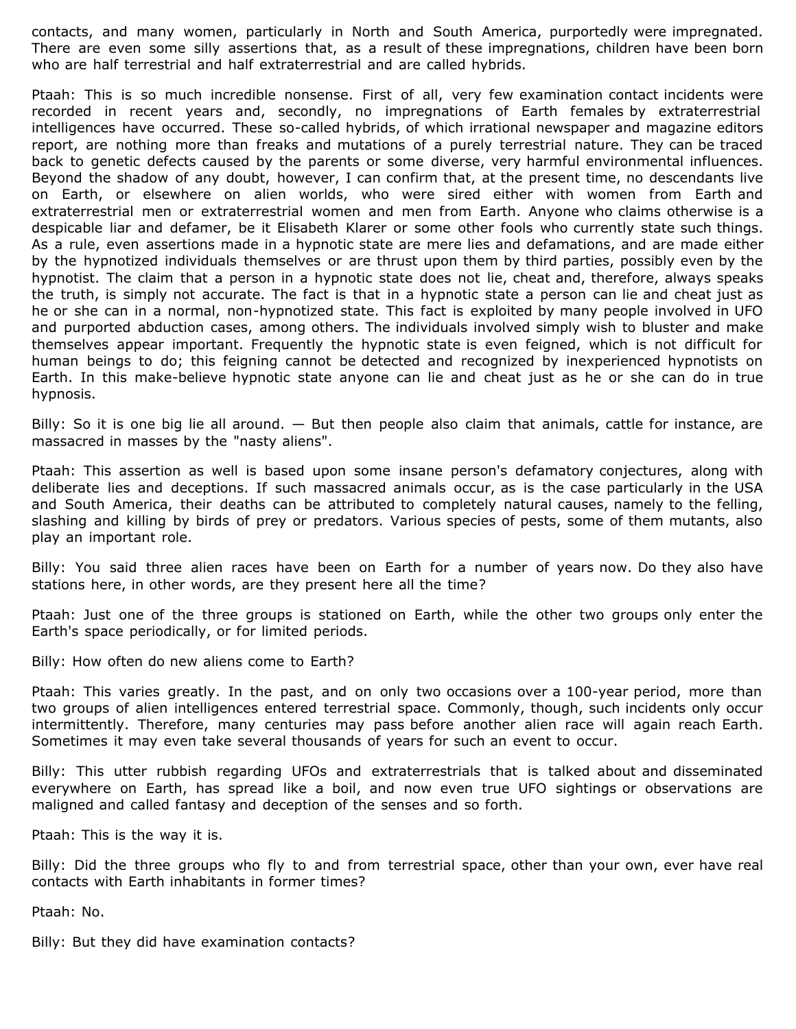contacts, and many women, particularly in North and South America, purportedly were impregnated. There are even some silly assertions that, as a result of these impregnations, children have been born who are half terrestrial and half extraterrestrial and are called hybrids.

Ptaah: This is so much incredible nonsense. First of all, very few examination contact incidents were recorded in recent years and, secondly, no impregnations of Earth females by extraterrestrial intelligences have occurred. These so-called hybrids, of which irrational newspaper and magazine editors report, are nothing more than freaks and mutations of a purely terrestrial nature. They can be traced back to genetic defects caused by the parents or some diverse, very harmful environmental influences. Beyond the shadow of any doubt, however, I can confirm that, at the present time, no descendants live on Earth, or elsewhere on alien worlds, who were sired either with women from Earth and extraterrestrial men or extraterrestrial women and men from Earth. Anyone who claims otherwise is a despicable liar and defamer, be it Elisabeth Klarer or some other fools who currently state such things. As a rule, even assertions made in a hypnotic state are mere lies and defamations, and are made either by the hypnotized individuals themselves or are thrust upon them by third parties, possibly even by the hypnotist. The claim that a person in a hypnotic state does not lie, cheat and, therefore, always speaks the truth, is simply not accurate. The fact is that in a hypnotic state a person can lie and cheat just as he or she can in a normal, non-hypnotized state. This fact is exploited by many people involved in UFO and purported abduction cases, among others. The individuals involved simply wish to bluster and make themselves appear important. Frequently the hypnotic state is even feigned, which is not difficult for human beings to do; this feigning cannot be detected and recognized by inexperienced hypnotists on Earth. In this make-believe hypnotic state anyone can lie and cheat just as he or she can do in true hypnosis.

Billy: So it is one big lie all around. — But then people also claim that animals, cattle for instance, are massacred in masses by the "nasty aliens".

Ptaah: This assertion as well is based upon some insane person's defamatory conjectures, along with deliberate lies and deceptions. If such massacred animals occur, as is the case particularly in the USA and South America, their deaths can be attributed to completely natural causes, namely to the felling, slashing and killing by birds of prey or predators. Various species of pests, some of them mutants, also play an important role.

Billy: You said three alien races have been on Earth for a number of years now. Do they also have stations here, in other words, are they present here all the time?

Ptaah: Just one of the three groups is stationed on Earth, while the other two groups only enter the Earth's space periodically, or for limited periods.

Billy: How often do new aliens come to Earth?

Ptaah: This varies greatly. In the past, and on only two occasions over a 100-year period, more than two groups of alien intelligences entered terrestrial space. Commonly, though, such incidents only occur intermittently. Therefore, many centuries may pass before another alien race will again reach Earth. Sometimes it may even take several thousands of years for such an event to occur.

Billy: This utter rubbish regarding UFOs and extraterrestrials that is talked about and disseminated everywhere on Earth, has spread like a boil, and now even true UFO sightings or observations are maligned and called fantasy and deception of the senses and so forth.

Ptaah: This is the way it is.

Billy: Did the three groups who fly to and from terrestrial space, other than your own, ever have real contacts with Earth inhabitants in former times?

Ptaah: No.

Billy: But they did have examination contacts?